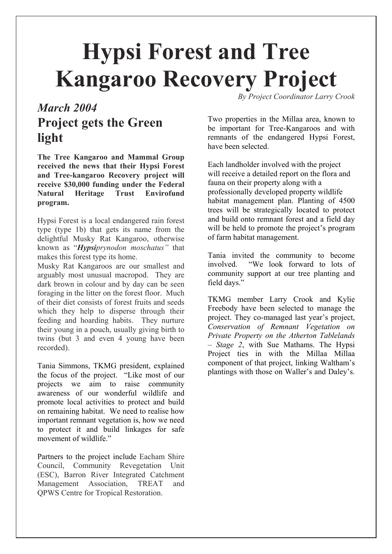# **Hypsi Forest and Tree Kangaroo Recovery Project**

*By Project Coordinator Larry Crook* 

## *March 2004*  **Project gets the Green light**

**The Tree Kangaroo and Mammal Group received the news that their Hypsi Forest and Tree-kangaroo Recovery project will receive \$30,000 funding under the Federal Natural Heritage Trust Envirofund program.** 

Hypsi Forest is a local endangered rain forest type (type 1b) that gets its name from the delightful Musky Rat Kangaroo, otherwise known as "*Hypsiprynodon moschatus"* that makes this forest type its home.

Musky Rat Kangaroos are our smallest and arguably most unusual macropod. They are dark brown in colour and by day can be seen foraging in the litter on the forest floor. Much of their diet consists of forest fruits and seeds which they help to disperse through their feeding and hoarding habits. They nurture their young in a pouch, usually giving birth to twins (but 3 and even 4 young have been recorded).

Tania Simmons, TKMG president, explained the focus of the project. "Like most of our projects we aim to raise community awareness of our wonderful wildlife and promote local activities to protect and build on remaining habitat. We need to realise how important remnant vegetation is, how we need to protect it and build linkages for safe movement of wildlife."

Partners to the project include Eacham Shire Council, Community Revegetation Unit (ESC), Barron River Integrated Catchment Management Association, TREAT and QPWS Centre for Tropical Restoration.

Two properties in the Millaa area, known to be important for Tree-Kangaroos and with remnants of the endangered Hypsi Forest, have been selected.

Each landholder involved with the project will receive a detailed report on the flora and fauna on their property along with a professionally developed property wildlife habitat management plan. Planting of 4500 trees will be strategically located to protect and build onto remnant forest and a field day will be held to promote the project's program of farm habitat management.

Tania invited the community to become involved. "We look forward to lots of community support at our tree planting and field days."

TKMG member Larry Crook and Kylie Freebody have been selected to manage the project. They co-managed last year's project, *Conservation of Remnant Vegetation on Private Property on the Atherton Tablelands – Stage 2*, with Sue Mathams. The Hypsi Project ties in with the Millaa Millaa component of that project, linking Waltham's plantings with those on Waller's and Daley's.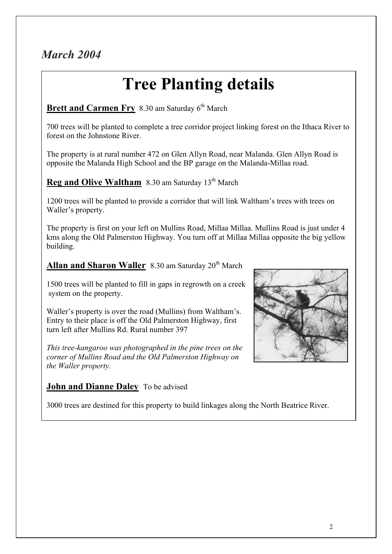### *March 2004*

# **Tree Planting details**

#### Brett and Carmen Fry 8.30 am Saturday 6<sup>th</sup> March

700 trees will be planted to complete a tree corridor project linking forest on the Ithaca River to forest on the Johnstone River.

The property is at rural number 472 on Glen Allyn Road, near Malanda. Glen Allyn Road is opposite the Malanda High School and the BP garage on the Malanda-Millaa road.

#### **Reg and Olive Waltham** 8.30 am Saturday 13<sup>th</sup> March

1200 trees will be planted to provide a corridor that will link Waltham's trees with trees on Waller's property.

The property is first on your left on Mullins Road, Millaa Millaa. Mullins Road is just under 4 kms along the Old Palmerston Highway. You turn off at Millaa Millaa opposite the big yellow building.

#### **Allan and Sharon Waller** 8.30 am Saturday 20<sup>th</sup> March

1500 trees will be planted to fill in gaps in regrowth on a creek system on the property.

Waller's property is over the road (Mullins) from Waltham's. Entry to their place is off the Old Palmerston Highway, first turn left after Mullins Rd. Rural number 397

*This tree-kangaroo was photographed in the pine trees on the corner of Mullins Road and the Old Palmerston Highway on the Waller property.* 



#### **John and Dianne Daley** To be advised

3000 trees are destined for this property to build linkages along the North Beatrice River.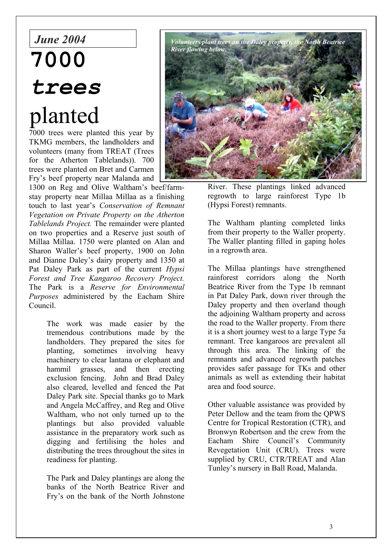# **7000** *trees* planted *June 2004*

7000 trees were planted this year by TKMG members, the landholders and volunteers (many from TREAT (Trees for the Atherton Tablelands)). 700 trees were planted on Bret and Carmen Fry's beef property near Malanda and

1300 on Reg and Olive Waltham's beef/farmstay property near Millaa Millaa as a finishing touch to last year's *Conservation of Remnant Vegetation on Private Property on the Atherton Tablelands Project.* The remainder were planted on two properties and a Reserve just south of Millaa Millaa. 1750 were planted on Alan and Sharon Waller's beef property, 1900 on John and Dianne Daley's dairy property and 1350 at Pat Daley Park as part of the current *Hypsi Forest and Tree Kangaroo Recovery Project.*  The Park is a *Reserve for Environmental Purposes* administered by the Eacham Shire Council.

> The work was made easier by the tremendous contributions made by the landholders. They prepared the sites for planting, sometimes involving heavy machinery to clear lantana or elephant and hammil grasses, and then erecting exclusion fencing. John and Brad Daley also cleared, levelled and fenced the Pat Daley Park site. Special thanks go to Mark and Angela McCaffrey, and Reg and Olive Waltham, who not only turned up to the plantings but also provided valuable assistance in the preparatory work such as digging and fertilising the holes and distributing the trees throughout the sites in readiness for planting.

The Park and Daley plantings are along the banks of the North Beatrice River and Fry's on the bank of the North Johnstone



River. These plantings linked advanced regrowth to large rainforest Type 1b (Hypsi Forest) remnants.

The Waltham planting completed links from their property to the Waller property. The Waller planting filled in gaping holes in a regrowth area.

The Millaa plantings have strengthened rainforest corridors along the North Beatrice River from the Type 1b remnant in Pat Daley Park, down river through the Daley property and then overland though the adjoining Waltham property and across the road to the Waller property. From there it is a short journey west to a large Type 5a remnant. Tree kangaroos are prevalent all through this area. The linking of the remnants and advanced regrowth patches provides safer passage for TKs and other animals as well as extending their habitat area and food source.

Other valuable assistance was provided by Peter Dellow and the team from the QPWS Centre for Tropical Restoration (CTR), and Bronwyn Robertson and the crew from the Eacham Shire Council's Community Revegetation Unit (CRU). Trees were supplied by CRU, CTR/TREAT and Alan Tunley's nursery in Ball Road, Malanda.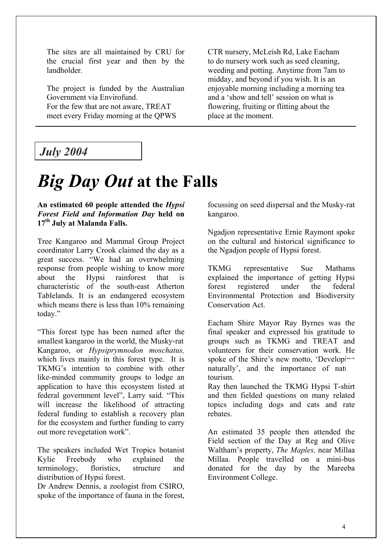The sites are all maintained by CRU for the crucial first year and then by the landholder.

The project is funded by the Australian Government via Envirofund. For the few that are not aware, TREAT meet every Friday morning at the QPWS

CTR nursery, McLeish Rd, Lake Eacham to do nursery work such as seed cleaning, weeding and potting. Anytime from 7am to midday, and beyond if you wish. It is an enjoyable morning including a morning tea and a 'show and tell' session on what is flowering, fruiting or flitting about the place at the moment.

### *July 2004*

# *Big Day Out* **at the Falls**

**An estimated 60 people attended the** *Hypsi Forest Field and Information Day* **held on 17th July at Malanda Falls.** 

Tree Kangaroo and Mammal Group Project coordinator Larry Crook claimed the day as a great success. "We had an overwhelming response from people wishing to know more about the Hypsi rainforest that is characteristic of the south-east Atherton Tablelands. It is an endangered ecosystem which means there is less than 10% remaining today."

"This forest type has been named after the smallest kangaroo in the world, the Musky-rat Kangaroo, or *Hypsiprymnodon moschatus,* which lives mainly in this forest type. It is TKMG's intention to combine with other like-minded community groups to lodge an application to have this ecosystem listed at federal government level", Larry said. "This will increase the likelihood of attracting federal funding to establish a recovery plan for the ecosystem and further funding to carry out more revegetation work".

The speakers included Wet Tropics botanist Kylie Freebody who explained the terminology, floristics, structure and distribution of Hypsi forest.

Dr Andrew Dennis, a zoologist from CSIRO, spoke of the importance of fauna in the forest,

focussing on seed dispersal and the Musky-rat kangaroo.

Ngadjon representative Ernie Raymont spoke on the cultural and historical significance to the Ngadjon people of Hypsi forest.

TKMG representative Sue Mathams explained the importance of getting Hypsi forest registered under the federal Environmental Protection and Biodiversity Conservation Act.

Eacham Shire Mayor Ray Byrnes was the final speaker and expressed his gratitude to groups such as TKMG and TREAT and volunteers for their conservation work. He spoke of the Shire's new motto, 'Developing naturally', and the importance of natural tourism.

Ray then launched the TKMG Hypsi T-shirt and then fielded questions on many related topics including dogs and cats and rate rebates.

An estimated 35 people then attended the Field section of the Day at Reg and Olive Waltham's property, *The Maples,* near Millaa Millaa. People travelled on a mini-bus donated for the day by the Mareeba Environment College.